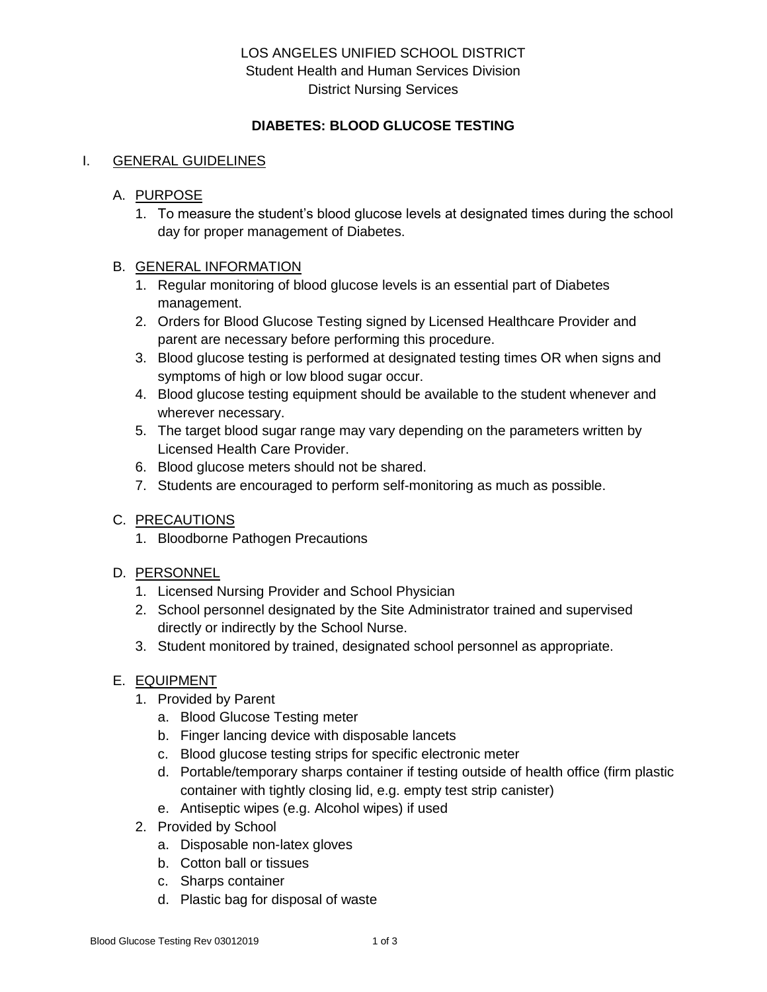## LOS ANGELES UNIFIED SCHOOL DISTRICT Student Health and Human Services Division District Nursing Services

### **DIABETES: BLOOD GLUCOSE TESTING**

#### I. GENERAL GUIDELINES

### A. PURPOSE

1. To measure the student's blood glucose levels at designated times during the school day for proper management of Diabetes.

#### B. GENERAL INFORMATION

- 1. Regular monitoring of blood glucose levels is an essential part of Diabetes management.
- 2. Orders for Blood Glucose Testing signed by Licensed Healthcare Provider and parent are necessary before performing this procedure.
- 3. Blood glucose testing is performed at designated testing times OR when signs and symptoms of high or low blood sugar occur.
- 4. Blood glucose testing equipment should be available to the student whenever and wherever necessary.
- 5. The target blood sugar range may vary depending on the parameters written by Licensed Health Care Provider.
- 6. Blood glucose meters should not be shared.
- 7. Students are encouraged to perform self-monitoring as much as possible.

### C. PRECAUTIONS

1. Bloodborne Pathogen Precautions

### D. PERSONNEL

- 1. Licensed Nursing Provider and School Physician
- 2. School personnel designated by the Site Administrator trained and supervised directly or indirectly by the School Nurse.
- 3. Student monitored by trained, designated school personnel as appropriate.

### E. EQUIPMENT

- 1. Provided by Parent
	- a. Blood Glucose Testing meter
	- b. Finger lancing device with disposable lancets
	- c. Blood glucose testing strips for specific electronic meter
	- d. Portable/temporary sharps container if testing outside of health office (firm plastic container with tightly closing lid, e.g. empty test strip canister)
	- e. Antiseptic wipes (e.g. Alcohol wipes) if used
- 2. Provided by School
	- a. Disposable non-latex gloves
	- b. Cotton ball or tissues
	- c. Sharps container
	- d. Plastic bag for disposal of waste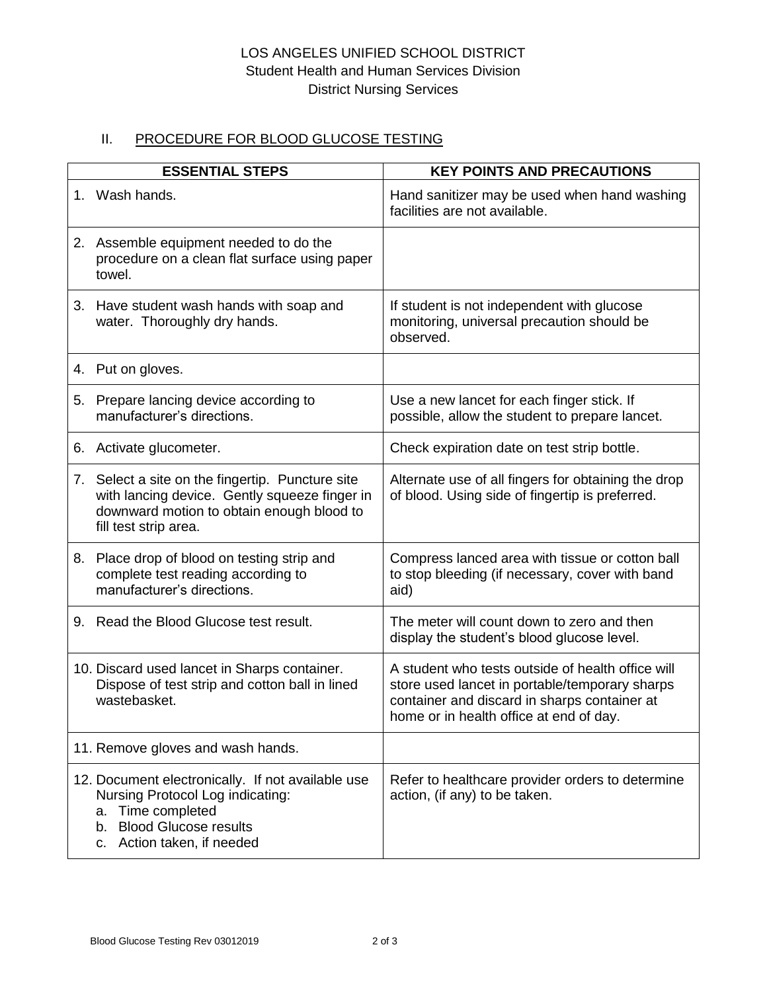# LOS ANGELES UNIFIED SCHOOL DISTRICT Student Health and Human Services Division District Nursing Services

# II. PROCEDURE FOR BLOOD GLUCOSE TESTING

| <b>ESSENTIAL STEPS</b>                                                                                                                                                  | <b>KEY POINTS AND PRECAUTIONS</b>                                                                                                                                                              |
|-------------------------------------------------------------------------------------------------------------------------------------------------------------------------|------------------------------------------------------------------------------------------------------------------------------------------------------------------------------------------------|
| 1. Wash hands.                                                                                                                                                          | Hand sanitizer may be used when hand washing<br>facilities are not available.                                                                                                                  |
| 2. Assemble equipment needed to do the<br>procedure on a clean flat surface using paper<br>towel.                                                                       |                                                                                                                                                                                                |
| 3. Have student wash hands with soap and<br>water. Thoroughly dry hands.                                                                                                | If student is not independent with glucose<br>monitoring, universal precaution should be<br>observed.                                                                                          |
| 4. Put on gloves.                                                                                                                                                       |                                                                                                                                                                                                |
| 5. Prepare lancing device according to<br>manufacturer's directions.                                                                                                    | Use a new lancet for each finger stick. If<br>possible, allow the student to prepare lancet.                                                                                                   |
| 6. Activate glucometer.                                                                                                                                                 | Check expiration date on test strip bottle.                                                                                                                                                    |
| 7. Select a site on the fingertip. Puncture site<br>with lancing device. Gently squeeze finger in<br>downward motion to obtain enough blood to<br>fill test strip area. | Alternate use of all fingers for obtaining the drop<br>of blood. Using side of fingertip is preferred.                                                                                         |
| 8. Place drop of blood on testing strip and<br>complete test reading according to<br>manufacturer's directions.                                                         | Compress lanced area with tissue or cotton ball<br>to stop bleeding (if necessary, cover with band<br>aid)                                                                                     |
| 9. Read the Blood Glucose test result.                                                                                                                                  | The meter will count down to zero and then<br>display the student's blood glucose level.                                                                                                       |
| 10. Discard used lancet in Sharps container.<br>Dispose of test strip and cotton ball in lined<br>wastebasket.                                                          | A student who tests outside of health office will<br>store used lancet in portable/temporary sharps<br>container and discard in sharps container at<br>home or in health office at end of day. |
| 11. Remove gloves and wash hands.                                                                                                                                       |                                                                                                                                                                                                |
| 12. Document electronically. If not available use<br>Nursing Protocol Log indicating:<br>a. Time completed<br>b. Blood Glucose results<br>Action taken, if needed<br>c. | Refer to healthcare provider orders to determine<br>action, (if any) to be taken.                                                                                                              |